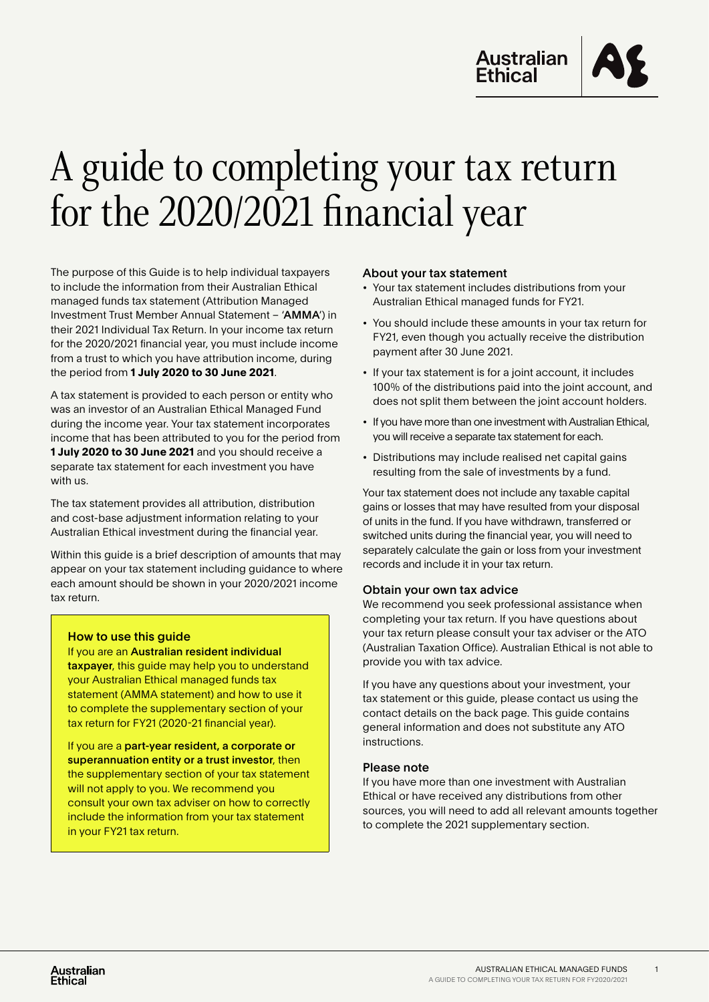

# A guide to completing your tax return for the 2020/2021 financial year

The purpose of this Guide is to help individual taxpayers to include the information from their Australian Ethical managed funds tax statement (Attribution Managed Investment Trust Member Annual Statement – 'AMMA') in their 2021 Individual Tax Return. In your income tax return for the 2020/2021 financial year, you must include income from a trust to which you have attribution income, during the period from **1 July 2020 to 30 June 2021**.

A tax statement is provided to each person or entity who was an investor of an Australian Ethical Managed Fund during the income year. Your tax statement incorporates income that has been attributed to you for the period from **1 July 2020 to 30 June 2021** and you should receive a separate tax statement for each investment you have with us.

The tax statement provides all attribution, distribution and cost-base adjustment information relating to your Australian Ethical investment during the financial year.

Within this guide is a brief description of amounts that may appear on your tax statement including guidance to where each amount should be shown in your 2020/2021 income tax return.

#### How to use this guide

If you are an Australian resident individual taxpayer, this guide may help you to understand your Australian Ethical managed funds tax statement (AMMA statement) and how to use it to complete the supplementary section of your tax return for FY21 (2020-21 financial year).

If you are a part-year resident, a corporate or superannuation entity or a trust investor, then the supplementary section of your tax statement will not apply to you. We recommend you consult your own tax adviser on how to correctly include the information from your tax statement in your FY21 tax return.

#### About your tax statement

- Your tax statement includes distributions from your Australian Ethical managed funds for FY21.
- You should include these amounts in your tax return for FY21, even though you actually receive the distribution payment after 30 June 2021.
- If your tax statement is for a joint account, it includes 100% of the distributions paid into the joint account, and does not split them between the joint account holders.
- If you have more than one investment with Australian Ethical, you will receive a separate tax statement for each.
- Distributions may include realised net capital gains resulting from the sale of investments by a fund.

Your tax statement does not include any taxable capital gains or losses that may have resulted from your disposal of units in the fund. If you have withdrawn, transferred or switched units during the financial year, you will need to separately calculate the gain or loss from your investment records and include it in your tax return.

#### Obtain your own tax advice

We recommend you seek professional assistance when completing your tax return. If you have questions about your tax return please consult your tax adviser or the ATO (Australian Taxation Office). Australian Ethical is not able to provide you with tax advice.

If you have any questions about your investment, your tax statement or this guide, please contact us using the contact details on the back page. This guide contains general information and does not substitute any ATO instructions.

#### Please note

If you have more than one investment with Australian Ethical or have received any distributions from other sources, you will need to add all relevant amounts together to complete the 2021 supplementary section.

1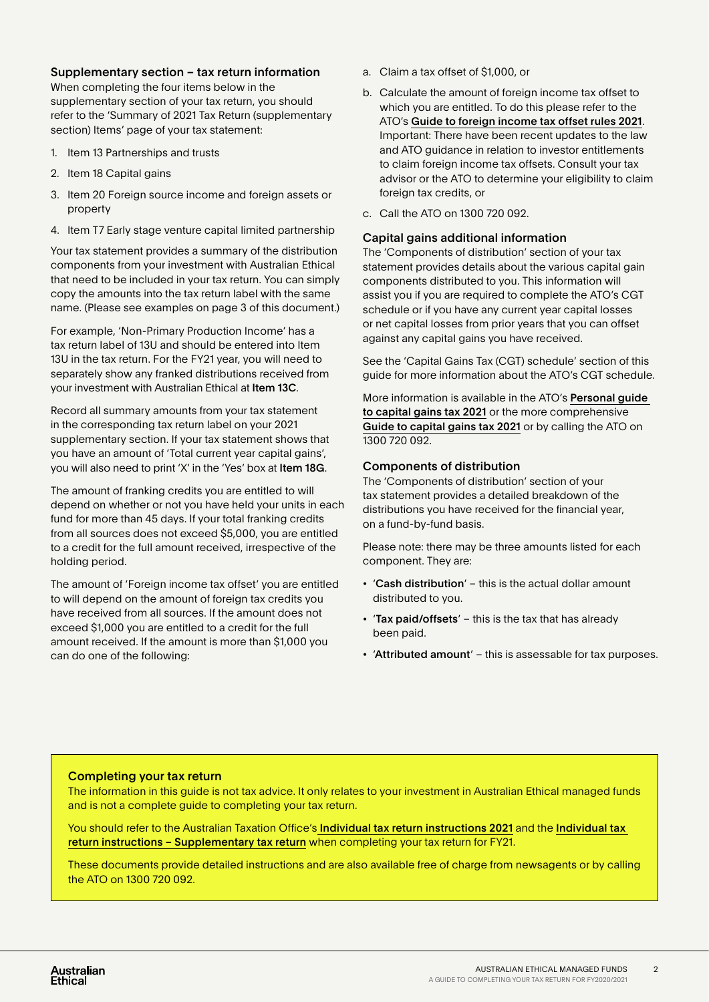## Supplementary section – tax return information

When completing the four items below in the supplementary section of your tax return, you should refer to the 'Summary of 2021 Tax Return (supplementary section) Items' page of your tax statement:

- 1. Item 13 Partnerships and trusts
- 2. Item 18 Capital gains
- 3. Item 20 Foreign source income and foreign assets or property
- 4. Item T7 Early stage venture capital limited partnership

Your tax statement provides a summary of the distribution components from your investment with Australian Ethical that need to be included in your tax return. You can simply copy the amounts into the tax return label with the same name. (Please see examples on page 3 of this document.)

For example, 'Non-Primary Production Income' has a tax return label of 13U and should be entered into Item 13U in the tax return. For the FY21 year, you will need to separately show any franked distributions received from your investment with Australian Ethical at Item 13C.

Record all summary amounts from your tax statement in the corresponding tax return label on your 2021 supplementary section. If your tax statement shows that you have an amount of 'Total current year capital gains', you will also need to print 'X' in the 'Yes' box at Item 18G.

The amount of franking credits you are entitled to will depend on whether or not you have held your units in each fund for more than 45 days. If your total franking credits from all sources does not exceed \$5,000, you are entitled to a credit for the full amount received, irrespective of the holding period.

The amount of 'Foreign income tax offset' you are entitled to will depend on the amount of foreign tax credits you have received from all sources. If the amount does not exceed \$1,000 you are entitled to a credit for the full amount received. If the amount is more than \$1,000 you can do one of the following:

- a. Claim a tax offset of \$1,000, or
- b. Calculate the amount of foreign income tax offset to which you are entitled. To do this please refer to the ATO's [Guide to foreign income tax offset rules 2021](https://www.ato.gov.au/Forms/Guide-to-foreign-income-tax-offset-rules-2021/). Important: There have been recent updates to the law and ATO guidance in relation to investor entitlements to claim foreign income tax offsets. Consult your tax advisor or the ATO to determine your eligibility to claim foreign tax credits, or
- c. Call the ATO on 1300 720 092.

#### Capital gains additional information

The 'Components of distribution' section of your tax statement provides details about the various capital gain components distributed to you. This information will assist you if you are required to complete the ATO's CGT schedule or if you have any current year capital losses or net capital losses from prior years that you can offset against any capital gains you have received.

See the 'Capital Gains Tax (CGT) schedule' section of this guide for more information about the ATO's CGT schedule.

More information is available in the ATO's [Personal guide](https://www.ato.gov.au/Individuals/Tax-return/2021/In-detail/Publications/Personal-investors-guide-to-capital-gains-tax-2021/)  [to capital gains tax 2021](https://www.ato.gov.au/Individuals/Tax-return/2021/In-detail/Publications/Personal-investors-guide-to-capital-gains-tax-2021/) or the more comprehensive [Guide to capital gains tax 2021](https://www.ato.gov.au/Individuals/Tax-return/2021/In-detail/Publications/Guide-to-capital-gains-tax-2021/) or by calling the ATO on 1300 720 092.

# Components of distribution

The 'Components of distribution' section of your tax statement provides a detailed breakdown of the distributions you have received for the financial year, on a fund-by-fund basis.

Please note: there may be three amounts listed for each component. They are:

- 'Cash distribution' this is the actual dollar amount distributed to you.
- 'Tax paid/offsets' this is the tax that has already been paid.
- 'Attributed amount' this is assessable for tax purposes.

# Completing your tax return

The information in this guide is not tax advice. It only relates to your investment in Australian Ethical managed funds and is not a complete guide to completing your tax return.

You should refer to the Australian Taxation Office's [Individual tax return instructions 2021](https://www.ato.gov.au/Individuals/Tax-return/2021/In-detail/Publications/Tax-return-for-individuals-2021/) and the Individual tax [return instructions – Supplementary tax return](https://www.ato.gov.au/Individuals/Tax-return/2021/In-detail/Publications/Tax-return-for-individuals-(supplementary-section)-2021/) when completing your tax return for FY21.

These documents provide detailed instructions and are also available free of charge from newsagents or by calling the ATO on 1300 720 092.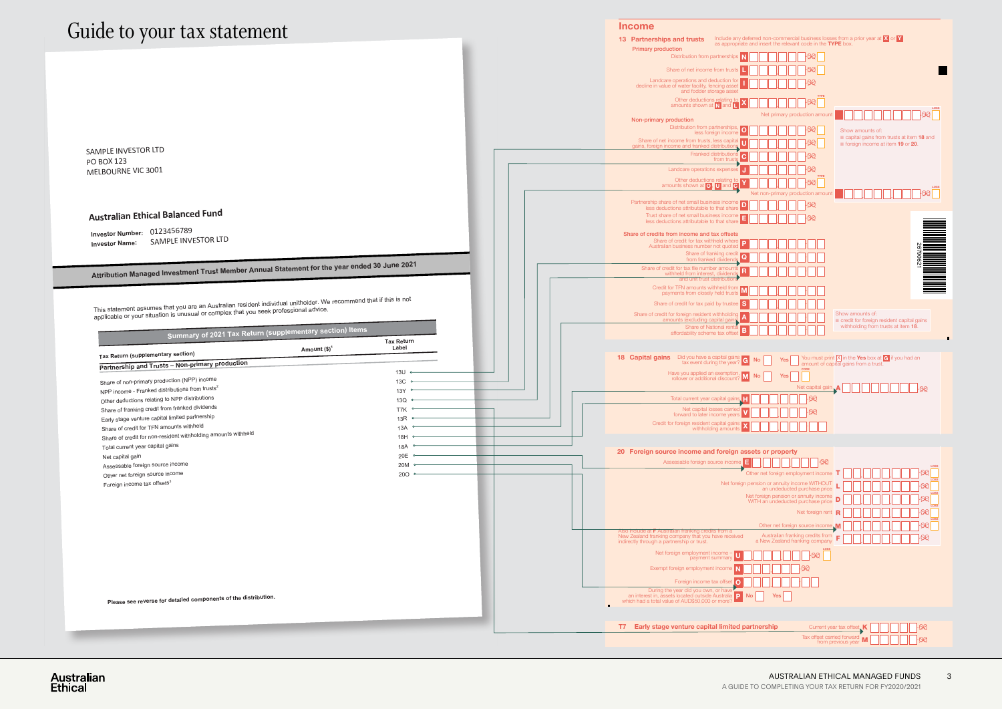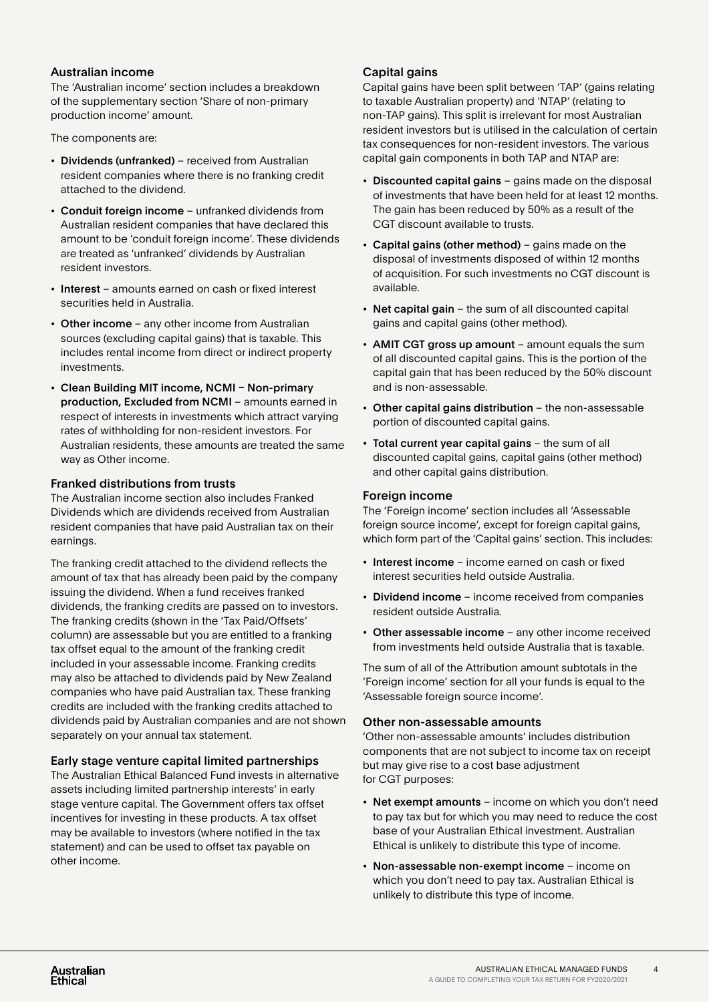# Australian income

The 'Australian income' section includes a breakdown of the supplementary section 'Share of non-primary production income' amount.

The components are:

- Dividends (unfranked) received from Australian resident companies where there is no franking credit attached to the dividend.
- Conduit foreign income unfranked dividends from Australian resident companies that have declared this amount to be 'conduit foreign income'. These dividends are treated as 'unfranked' dividends by Australian resident investors.
- Interest amounts earned on cash or fixed interest securities held in Australia.
- Other income any other income from Australian sources (excluding capital gains) that is taxable. This includes rental income from direct or indirect property investments.
- Clean Building MIT income, NCMI Non-primary production, Excluded from NCMI – amounts earned in respect of interests in investments which attract varying rates of withholding for non-resident investors. For Australian residents, these amounts are treated the same way as Other income.

#### Franked distributions from trusts

The Australian income section also includes Franked Dividends which are dividends received from Australian resident companies that have paid Australian tax on their earnings.

The franking credit attached to the dividend reflects the amount of tax that has already been paid by the company issuing the dividend. When a fund receives franked dividends, the franking credits are passed on to investors. The franking credits (shown in the 'Tax Paid/Offsets' column) are assessable but you are entitled to a franking tax offset equal to the amount of the franking credit included in your assessable income. Franking credits may also be attached to dividends paid by New Zealand companies who have paid Australian tax. These franking credits are included with the franking credits attached to dividends paid by Australian companies and are not shown separately on your annual tax statement.

# Early stage venture capital limited partnerships

The Australian Ethical Balanced Fund invests in alternative assets including limited partnership interests' in early stage venture capital. The Government offers tax offset incentives for investing in these products. A tax offset may be available to investors (where notified in the tax statement) and can be used to offset tax payable on other income.

### Capital gains

Capital gains have been split between 'TAP' (gains relating to taxable Australian property) and 'NTAP' (relating to non-TAP gains). This split is irrelevant for most Australian resident investors but is utilised in the calculation of certain tax consequences for non-resident investors. The various capital gain components in both TAP and NTAP are:

- Discounted capital gains gains made on the disposal of investments that have been held for at least 12 months. The gain has been reduced by 50% as a result of the CGT discount available to trusts.
- Capital gains (other method) gains made on the disposal of investments disposed of within 12 months of acquisition. For such investments no CGT discount is available.
- Net capital gain the sum of all discounted capital gains and capital gains (other method).
- AMIT CGT gross up amount amount equals the sum of all discounted capital gains. This is the portion of the capital gain that has been reduced by the 50% discount and is non-assessable.
- Other capital gains distribution the non-assessable portion of discounted capital gains.
- Total current year capital gains the sum of all discounted capital gains, capital gains (other method) and other capital gains distribution.

## Foreign income

The 'Foreign income' section includes all 'Assessable foreign source income', except for foreign capital gains, which form part of the 'Capital gains' section. This includes:

- Interest income income earned on cash or fixed interest securities held outside Australia.
- Dividend income income received from companies resident outside Australia.
- Other assessable income any other income received from investments held outside Australia that is taxable.

The sum of all of the Attribution amount subtotals in the 'Foreign income' section for all your funds is equal to the 'Assessable foreign source income'.

#### Other non-assessable amounts

'Other non-assessable amounts' includes distribution components that are not subject to income tax on receipt but may give rise to a cost base adjustment for CGT purposes:

- Net exempt amounts income on which you don't need to pay tax but for which you may need to reduce the cost base of your Australian Ethical investment. Australian Ethical is unlikely to distribute this type of income.
- Non-assessable non-exempt income income on which you don't need to pay tax. Australian Ethical is unlikely to distribute this type of income.

4